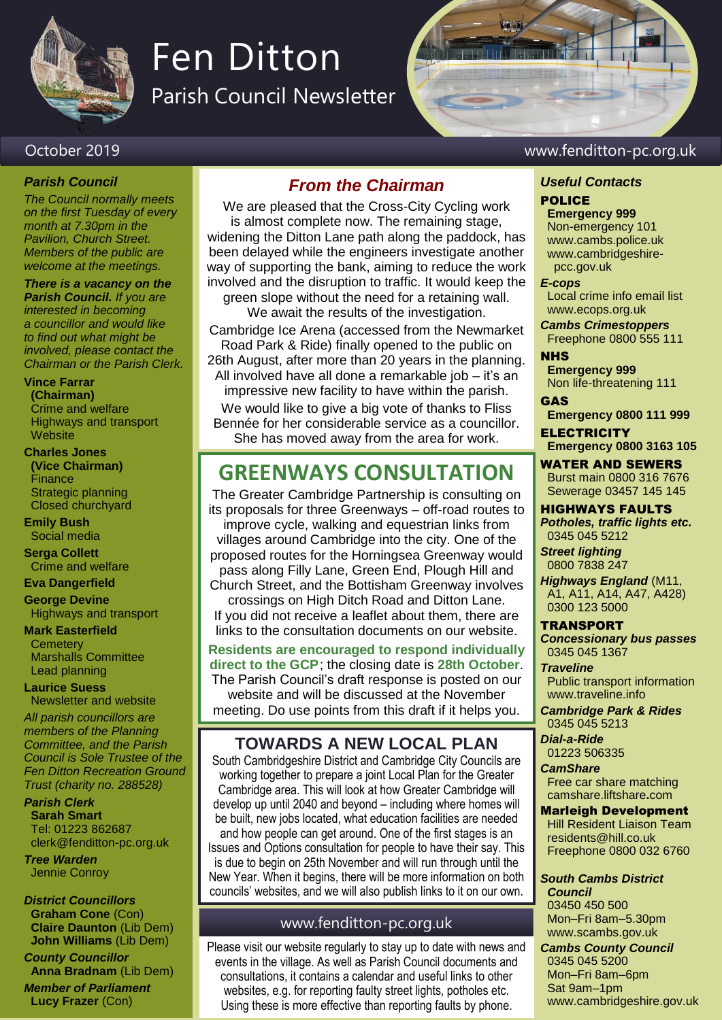

# Fen Ditton

Parish Council Newsletter

### October 2019 www.fenditton-pc.org.uk

### *Parish Council*

*The Council normally meets on the first Tuesday of every month at 7.30pm in the Pavilion, Church Street. Members of the public are welcome at the meetings.*

*There is a vacancy on the Parish Council. If you are interested in becoming a councillor and would like to find out what might be involved, please contact the Chairman or the Parish Clerk.*

**Vince Farrar (Chairman)** Crime and welfare

Highways and transport **Website** 

### **Charles Jones (Vice Chairman)** Finance Strategic planning Closed churchyard

**Emily Bush** Social media

**Serga Collett** Crime and welfare

**Eva Dangerfield**

**George Devine** Highways and transport

**Mark Easterfield Cemetery** Marshalls Committee Lead planning

**Laurice Suess** Newsletter and website

*All parish councillors are members of the Planning Committee, and the Parish Council is Sole Trustee of the Fen Ditton Recreation Ground Trust (charity no. 288528)*

*Parish Clerk* **Sarah Smart** Tel: 01223 862687 clerk@fenditton-pc.org.uk

*Tree Warden* Jennie Conroy

*District Councillors* **Graham Cone** (Con) **Claire Daunton** (Lib Dem) **John Williams** (Lib Dem)

*County Councillor* **Anna Bradnam** (Lib Dem) *Member of Parliament* **Lucy Frazer** (Con)

## *From the Chairman*

We are pleased that the Cross-City Cycling work is almost complete now. The remaining stage, widening the Ditton Lane path along the paddock, has been delayed while the engineers investigate another way of supporting the bank, aiming to reduce the work involved and the disruption to traffic. It would keep the green slope without the need for a retaining wall.

We await the results of the investigation.

Cambridge Ice Arena (accessed from the Newmarket Road Park & Ride) finally opened to the public on 26th August, after more than 20 years in the planning. All involved have all done a remarkable job – it's an impressive new facility to have within the parish.

We would like to give a big vote of thanks to Fliss Bennée for her considerable service as a councillor. She has moved away from the area for work.

# **GREENWAYS CONSULTATION**

The Greater Cambridge Partnership is consulting on its proposals for three Greenways – off-road routes to improve cycle, walking and equestrian links from villages around Cambridge into the city. One of the proposed routes for the Horningsea Greenway would pass along Filly Lane, Green End, Plough Hill and Church Street, and the Bottisham Greenway involves crossings on High Ditch Road and Ditton Lane. If you did not receive a leaflet about them, there are links to the consultation documents on our website. **Residents are encouraged to respond individually**

**direct to the GCP**; the closing date is **28th October**. The Parish Council's draft response is posted on our website and will be discussed at the November meeting. Do use points from this draft if it helps you.

# **TOWARDS A NEW LOCAL PLAN**

South Cambridgeshire District and Cambridge City Councils are working together to prepare a joint Local Plan for the Greater Cambridge area. This will look at how Greater Cambridge will develop up until 2040 and beyond – including where homes will be built, new jobs located, what education facilities are needed and how people can get around. One of the first stages is an Issues and Options consultation for people to have their say. This is due to begin on 25th November and will run through until the New Year. When it begins, there will be more information on both councils' websites, and we will also publish links to it on our own.

### www.fenditton-pc.org.uk

Please visit our website regularly to stay up to date with news and events in the village. As well as Parish Council documents and consultations, it contains a calendar and useful links to other websites, e.g. for reporting faulty street lights, potholes etc. Using these is more effective than reporting faults by phone.

# *Useful Contacts*

## POLICE

**Emergency 999** Non-emergency 101 www.cambs.police.uk www.cambridgeshire pcc.gov.uk

### *E-cops*

Local crime info email list www.ecops.org.uk

*Cambs Crimestoppers* Freephone 0800 555 111

**NHS Emergency 999**

Non life-threatening 111 GAS

**Emergency 0800 111 999**

**ELECTRICITY Emergency 0800 3163 105**

WATER AND SEWERS Burst main 0800 316 7676 Sewerage 03457 145 145

HIGHWAYS FAULTS *Potholes, traffic lights etc.* 0345 045 5212

*Street lighting* 0800 7838 247

*Highways England* (M11, A1, A11, A14, A47, A428) 0300 123 5000

### TRANSPORT

*Concessionary bus passes* 0345 045 1367 *Traveline* Public transport information www.traveline.info

*Cambridge Park & Rides* 0345 045 5213 *Dial-a-Ride*

01223 506335 *CamShare*

Free car share matching camshare.liftshare**.**com

Marleigh Development Hill Resident Liaison Team residents@hill.co.uk Freephone 0800 032 6760

*South Cambs District Council* 03450 450 500 Mon–Fri 8am–5.30pm www.scambs.gov.uk

*Cambs County Council* 0345 045 5200 Mon–Fri 8am–6pm Sat 9am–1pm www.cambridgeshire.gov.uk